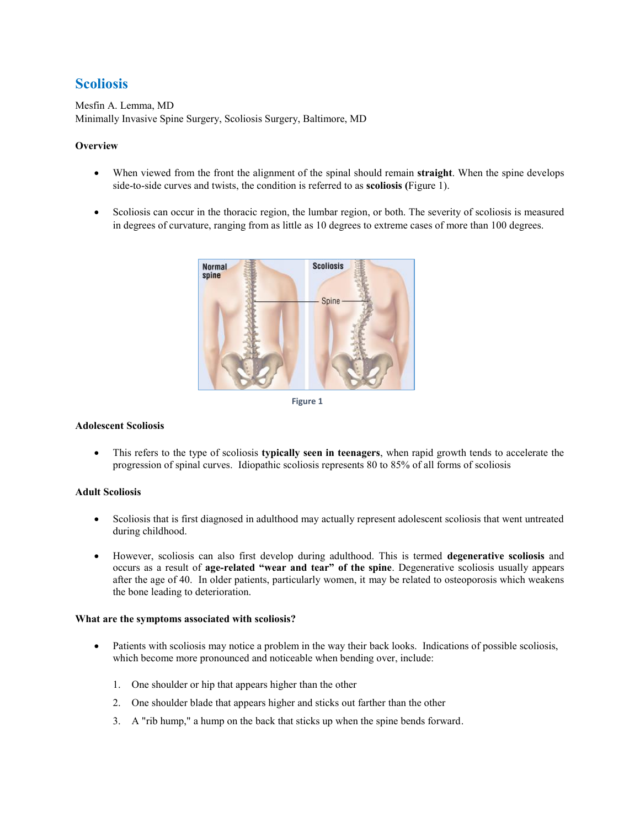# **Scoliosis**

Mesfin A. Lemma, MD Minimally Invasive Spine Surgery, Scoliosis Surgery, Baltimore, MD

## **Overview**

- When viewed from the front the alignment of the spinal should remain **straight**. When the spine develops side-to-side curves and twists, the condition is referred to as **scoliosis (**Figure 1).
- Scoliosis can occur in the thoracic region, the lumbar region, or both. The severity of scoliosis is measured in degrees of curvature, ranging from as little as 10 degrees to extreme cases of more than 100 degrees.





### **Adolescent Scoliosis**

 This refers to the type of scoliosis **typically seen in teenagers**, when rapid growth tends to accelerate the progression of spinal curves. Idiopathic scoliosis represents 80 to 85% of all forms of scoliosis

### **Adult Scoliosis**

- Scoliosis that is first diagnosed in adulthood may actually represent adolescent scoliosis that went untreated during childhood.
- However, scoliosis can also first develop during adulthood. This is termed **degenerative scoliosis** and occurs as a result of **age-related "wear and tear" of the spine**. Degenerative scoliosis usually appears after the age of 40. In older patients, particularly women, it may be related to osteoporosis which weakens the bone leading to deterioration.

#### **What are the symptoms associated with scoliosis?**

- Patients with scoliosis may notice a problem in the way their back looks. Indications of possible scoliosis, which become more pronounced and noticeable when bending over, include:
	- 1. One shoulder or hip that appears higher than the other
	- 2. One shoulder blade that appears higher and sticks out farther than the other
	- 3. A "rib hump," a hump on the back that sticks up when the spine bends forward.